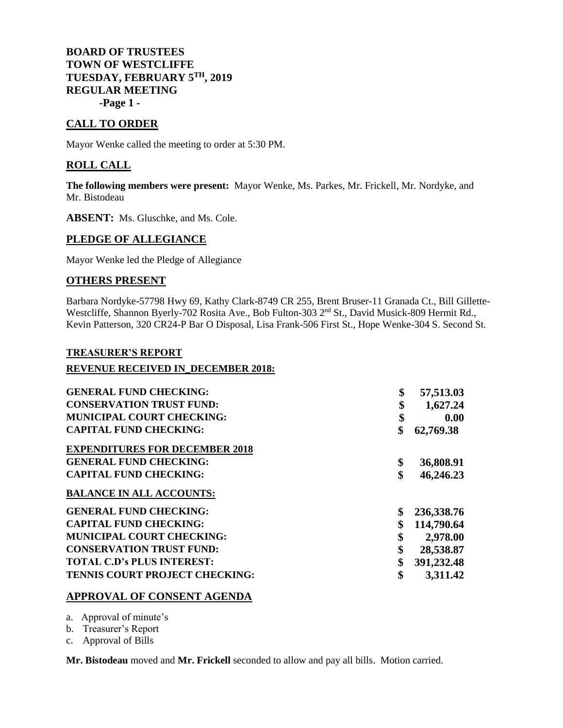## **BOARD OF TRUSTEES TOWN OF WESTCLIFFE TUESDAY, FEBRUARY 5TH, 2019 REGULAR MEETING -Page 1 -**

# **CALL TO ORDER**

Mayor Wenke called the meeting to order at 5:30 PM.

## **ROLL CALL**

**The following members were present:** Mayor Wenke, Ms. Parkes, Mr. Frickell, Mr. Nordyke, and Mr. Bistodeau

**ABSENT:** Ms. Gluschke, and Ms. Cole.

### **PLEDGE OF ALLEGIANCE**

Mayor Wenke led the Pledge of Allegiance

## **OTHERS PRESENT**

Barbara Nordyke-57798 Hwy 69, Kathy Clark-8749 CR 255, Brent Bruser-11 Granada Ct., Bill Gillette-Westcliffe, Shannon Byerly-702 Rosita Ave., Bob Fulton-303 2<sup>nd</sup> St., David Musick-809 Hermit Rd., Kevin Patterson, 320 CR24-P Bar O Disposal, Lisa Frank-506 First St., Hope Wenke-304 S. Second St.

### **TREASURER'S REPORT**

#### **REVENUE RECEIVED IN\_DECEMBER 2018:**

| <b>GENERAL FUND CHECKING:</b>         | \$<br>57,513.03  |
|---------------------------------------|------------------|
| <b>CONSERVATION TRUST FUND:</b>       | \$<br>1,627.24   |
| <b>MUNICIPAL COURT CHECKING:</b>      | \$<br>0.00       |
| <b>CAPITAL FUND CHECKING:</b>         | \$<br>62,769.38  |
| <b>EXPENDITURES FOR DECEMBER 2018</b> |                  |
| <b>GENERAL FUND CHECKING:</b>         | \$<br>36,808.91  |
| <b>CAPITAL FUND CHECKING:</b>         | \$<br>46,246.23  |
| <b>BALANCE IN ALL ACCOUNTS:</b>       |                  |
| <b>GENERAL FUND CHECKING:</b>         | \$<br>236,338.76 |
| <b>CAPITAL FUND CHECKING:</b>         | \$<br>114,790.64 |
| <b>MUNICIPAL COURT CHECKING:</b>      | \$<br>2,978.00   |
| <b>CONSERVATION TRUST FUND:</b>       | \$<br>28,538.87  |
| <b>TOTAL C.D's PLUS INTEREST:</b>     | \$<br>391,232.48 |
| <b>TENNIS COURT PROJECT CHECKING:</b> | \$<br>3,311.42   |

### **APPROVAL OF CONSENT AGENDA**

a. Approval of minute's

b. Treasurer's Report

c. Approval of Bills

**Mr. Bistodeau** moved and **Mr. Frickell** seconded to allow and pay all bills. Motion carried.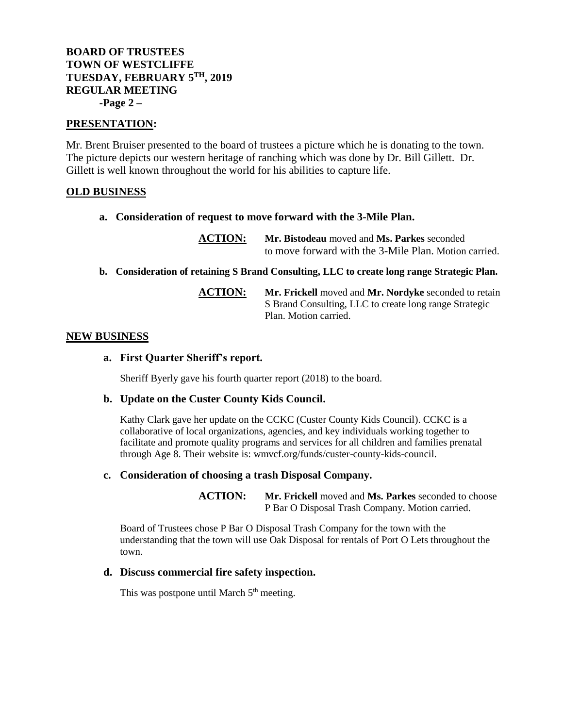# **BOARD OF TRUSTEES TOWN OF WESTCLIFFE TUESDAY, FEBRUARY 5TH, 2019 REGULAR MEETING -Page 2 –**

## **PRESENTATION:**

Mr. Brent Bruiser presented to the board of trustees a picture which he is donating to the town. The picture depicts our western heritage of ranching which was done by Dr. Bill Gillett. Dr. Gillett is well known throughout the world for his abilities to capture life.

## **OLD BUSINESS**

**a. Consideration of request to move forward with the 3-Mile Plan.**

**ACTION: Mr. Bistodeau** moved and **Ms. Parkes** seconded to move forward with the 3-Mile Plan. Motion carried.

**b. Consideration of retaining S Brand Consulting, LLC to create long range Strategic Plan.**

**ACTION: Mr. Frickell** moved and **Mr. Nordyke** seconded to retain S Brand Consulting, LLC to create long range Strategic Plan. Motion carried.

### **NEW BUSINESS**

## **a. First Quarter Sheriff's report.**

Sheriff Byerly gave his fourth quarter report (2018) to the board.

### **b. Update on the Custer County Kids Council.**

Kathy Clark gave her update on the CCKC (Custer County Kids Council). CCKC is a collaborative of local organizations, agencies, and key individuals working together to facilitate and promote quality programs and services for all children and families prenatal through Age 8. Their website is: wmvcf.org/funds/custer-county-kids-council.

### **c. Consideration of choosing a trash Disposal Company.**

**ACTION: Mr. Frickell** moved and **Ms. Parkes** seconded to choose P Bar O Disposal Trash Company. Motion carried.

Board of Trustees chose P Bar O Disposal Trash Company for the town with the understanding that the town will use Oak Disposal for rentals of Port O Lets throughout the town.

### **d. Discuss commercial fire safety inspection.**

This was postpone until March  $5<sup>th</sup>$  meeting.